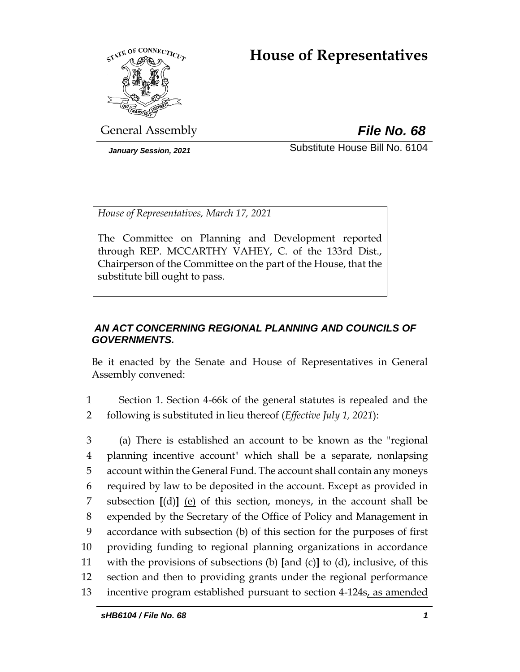# **House of Representatives**



General Assembly *File No. 68*

*January Session, 2021* Substitute House Bill No. 6104

*House of Representatives, March 17, 2021*

The Committee on Planning and Development reported through REP. MCCARTHY VAHEY, C. of the 133rd Dist., Chairperson of the Committee on the part of the House, that the substitute bill ought to pass.

# *AN ACT CONCERNING REGIONAL PLANNING AND COUNCILS OF GOVERNMENTS.*

Be it enacted by the Senate and House of Representatives in General Assembly convened:

1 Section 1. Section 4-66k of the general statutes is repealed and the 2 following is substituted in lieu thereof (*Effective July 1, 2021*):

 (a) There is established an account to be known as the "regional planning incentive account" which shall be a separate, nonlapsing account within the General Fund. The account shall contain any moneys required by law to be deposited in the account. Except as provided in subsection **[**(d)**]** (e) of this section, moneys, in the account shall be expended by the Secretary of the Office of Policy and Management in accordance with subsection (b) of this section for the purposes of first providing funding to regional planning organizations in accordance with the provisions of subsections (b) **[**and (c)**]** to (d), inclusive, of this section and then to providing grants under the regional performance incentive program established pursuant to section 4-124s, as amended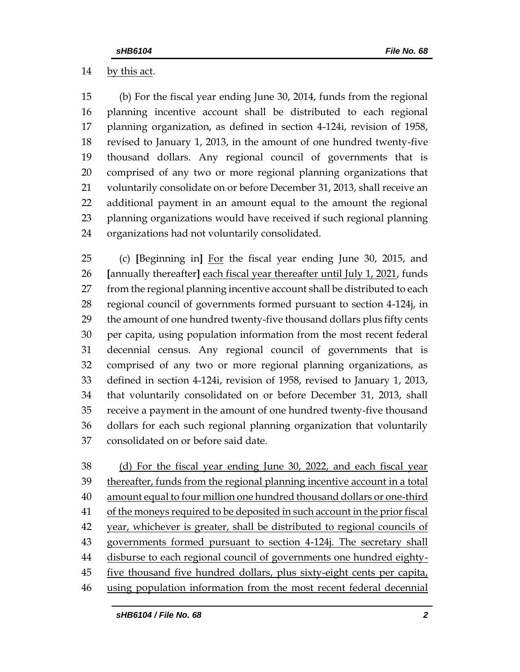## by this act.

 (b) For the fiscal year ending June 30, 2014, funds from the regional planning incentive account shall be distributed to each regional planning organization, as defined in section 4-124i, revision of 1958, revised to January 1, 2013, in the amount of one hundred twenty-five thousand dollars. Any regional council of governments that is comprised of any two or more regional planning organizations that 21 voluntarily consolidate on or before December 31, 2013, shall receive an additional payment in an amount equal to the amount the regional planning organizations would have received if such regional planning organizations had not voluntarily consolidated.

 (c) **[**Beginning in**]** For the fiscal year ending June 30, 2015, and **[**annually thereafter**]** each fiscal year thereafter until July 1, 2021, funds from the regional planning incentive account shall be distributed to each regional council of governments formed pursuant to section 4-124j, in the amount of one hundred twenty-five thousand dollars plus fifty cents per capita, using population information from the most recent federal decennial census. Any regional council of governments that is comprised of any two or more regional planning organizations, as defined in section 4-124i, revision of 1958, revised to January 1, 2013, that voluntarily consolidated on or before December 31, 2013, shall receive a payment in the amount of one hundred twenty-five thousand dollars for each such regional planning organization that voluntarily consolidated on or before said date.

 (d) For the fiscal year ending June 30, 2022, and each fiscal year thereafter, funds from the regional planning incentive account in a total amount equal to four million one hundred thousand dollars or one-third 41 of the moneys required to be deposited in such account in the prior fiscal 42 year, whichever is greater, shall be distributed to regional councils of governments formed pursuant to section 4-124j. The secretary shall 44 disburse to each regional council of governments one hundred eighty- five thousand five hundred dollars, plus sixty-eight cents per capita, using population information from the most recent federal decennial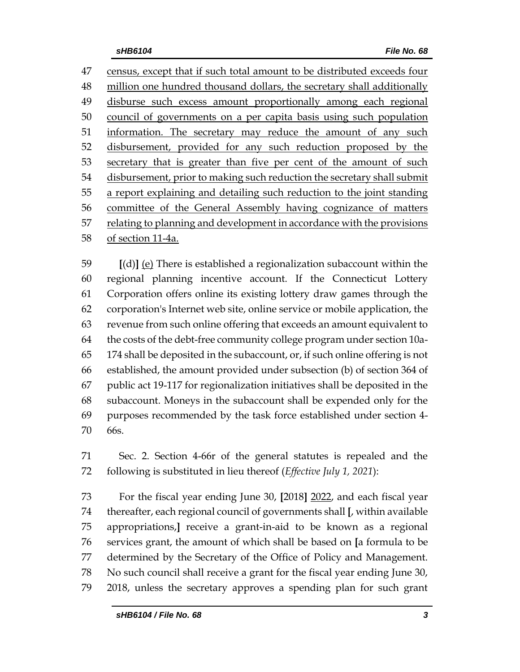census, except that if such total amount to be distributed exceeds four million one hundred thousand dollars, the secretary shall additionally disburse such excess amount proportionally among each regional council of governments on a per capita basis using such population 51 information. The secretary may reduce the amount of any such disbursement, provided for any such reduction proposed by the secretary that is greater than five per cent of the amount of such disbursement, prior to making such reduction the secretary shall submit a report explaining and detailing such reduction to the joint standing committee of the General Assembly having cognizance of matters relating to planning and development in accordance with the provisions of section 11-4a.

 **[**(d)**]** (e) There is established a regionalization subaccount within the regional planning incentive account. If the Connecticut Lottery Corporation offers online its existing lottery draw games through the corporation's Internet web site, online service or mobile application, the revenue from such online offering that exceeds an amount equivalent to the costs of the debt-free community college program under section 10a- 174 shall be deposited in the subaccount, or, if such online offering is not established, the amount provided under subsection (b) of section 364 of public act 19-117 for regionalization initiatives shall be deposited in the subaccount. Moneys in the subaccount shall be expended only for the purposes recommended by the task force established under section 4- 66s.

 Sec. 2. Section 4-66r of the general statutes is repealed and the following is substituted in lieu thereof (*Effective July 1, 2021*):

 For the fiscal year ending June 30, **[**2018**]** 2022, and each fiscal year thereafter, each regional council of governments shall **[**, within available appropriations,**]** receive a grant-in-aid to be known as a regional services grant, the amount of which shall be based on **[**a formula to be determined by the Secretary of the Office of Policy and Management. No such council shall receive a grant for the fiscal year ending June 30, 2018, unless the secretary approves a spending plan for such grant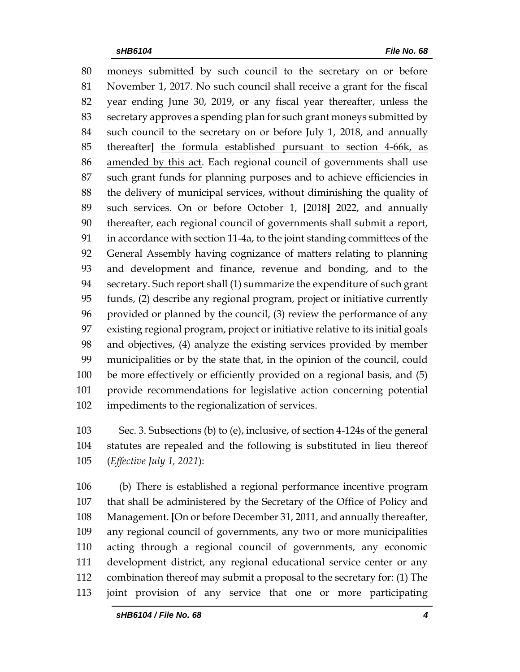moneys submitted by such council to the secretary on or before November 1, 2017. No such council shall receive a grant for the fiscal year ending June 30, 2019, or any fiscal year thereafter, unless the secretary approves a spending plan for such grant moneys submitted by such council to the secretary on or before July 1, 2018, and annually thereafter**]** the formula established pursuant to section 4-66k, as amended by this act. Each regional council of governments shall use such grant funds for planning purposes and to achieve efficiencies in the delivery of municipal services, without diminishing the quality of such services. On or before October 1, **[**2018**]** 2022, and annually thereafter, each regional council of governments shall submit a report, in accordance with section 11-4a, to the joint standing committees of the General Assembly having cognizance of matters relating to planning and development and finance, revenue and bonding, and to the secretary. Such report shall (1) summarize the expenditure of such grant funds, (2) describe any regional program, project or initiative currently provided or planned by the council, (3) review the performance of any existing regional program, project or initiative relative to its initial goals and objectives, (4) analyze the existing services provided by member municipalities or by the state that, in the opinion of the council, could be more effectively or efficiently provided on a regional basis, and (5) provide recommendations for legislative action concerning potential impediments to the regionalization of services.

 Sec. 3. Subsections (b) to (e), inclusive, of section 4-124s of the general statutes are repealed and the following is substituted in lieu thereof (*Effective July 1, 2021*):

 (b) There is established a regional performance incentive program that shall be administered by the Secretary of the Office of Policy and Management. **[**On or before December 31, 2011, and annually thereafter, any regional council of governments, any two or more municipalities acting through a regional council of governments, any economic development district, any regional educational service center or any combination thereof may submit a proposal to the secretary for: (1) The joint provision of any service that one or more participating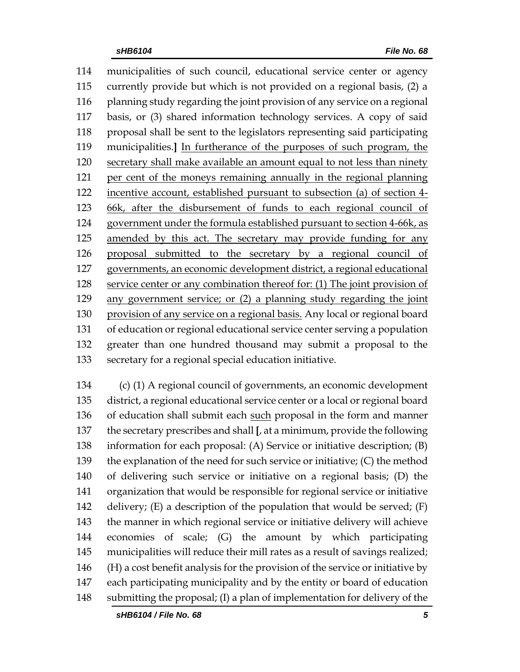municipalities of such council, educational service center or agency currently provide but which is not provided on a regional basis, (2) a planning study regarding the joint provision of any service on a regional basis, or (3) shared information technology services. A copy of said proposal shall be sent to the legislators representing said participating municipalities.**]** In furtherance of the purposes of such program, the secretary shall make available an amount equal to not less than ninety per cent of the moneys remaining annually in the regional planning incentive account, established pursuant to subsection (a) of section 4- 66k, after the disbursement of funds to each regional council of government under the formula established pursuant to section 4-66k, as amended by this act. The secretary may provide funding for any proposal submitted to the secretary by a regional council of governments, an economic development district, a regional educational service center or any combination thereof for: (1) The joint provision of any government service; or (2) a planning study regarding the joint provision of any service on a regional basis. Any local or regional board of education or regional educational service center serving a population greater than one hundred thousand may submit a proposal to the secretary for a regional special education initiative.

 (c) (1) A regional council of governments, an economic development district, a regional educational service center or a local or regional board of education shall submit each such proposal in the form and manner the secretary prescribes and shall **[**, at a minimum, provide the following information for each proposal: (A) Service or initiative description; (B) the explanation of the need for such service or initiative; (C) the method of delivering such service or initiative on a regional basis; (D) the organization that would be responsible for regional service or initiative 142 delivery;  $(E)$  a description of the population that would be served;  $(F)$  the manner in which regional service or initiative delivery will achieve economies of scale; (G) the amount by which participating municipalities will reduce their mill rates as a result of savings realized; (H) a cost benefit analysis for the provision of the service or initiative by each participating municipality and by the entity or board of education submitting the proposal; (I) a plan of implementation for delivery of the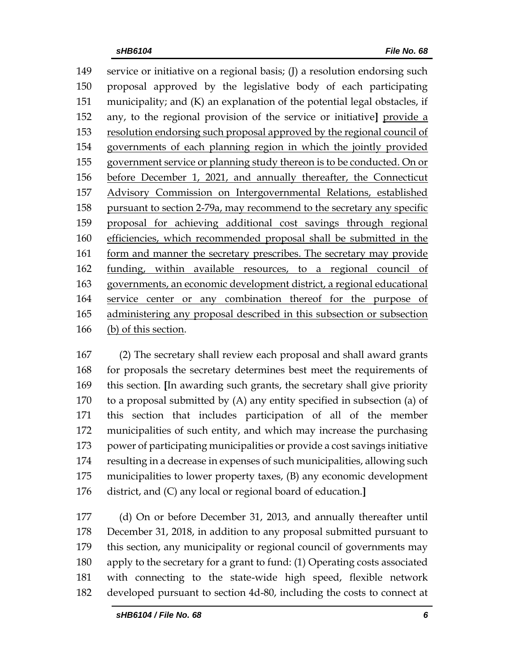service or initiative on a regional basis; (J) a resolution endorsing such proposal approved by the legislative body of each participating municipality; and (K) an explanation of the potential legal obstacles, if any, to the regional provision of the service or initiative**]** provide a resolution endorsing such proposal approved by the regional council of governments of each planning region in which the jointly provided government service or planning study thereon is to be conducted. On or before December 1, 2021, and annually thereafter, the Connecticut Advisory Commission on Intergovernmental Relations, established pursuant to section 2-79a, may recommend to the secretary any specific proposal for achieving additional cost savings through regional efficiencies, which recommended proposal shall be submitted in the 161 form and manner the secretary prescribes. The secretary may provide funding, within available resources, to a regional council of governments, an economic development district, a regional educational service center or any combination thereof for the purpose of administering any proposal described in this subsection or subsection (b) of this section.

 (2) The secretary shall review each proposal and shall award grants for proposals the secretary determines best meet the requirements of this section. **[**In awarding such grants, the secretary shall give priority to a proposal submitted by (A) any entity specified in subsection (a) of this section that includes participation of all of the member municipalities of such entity, and which may increase the purchasing power of participating municipalities or provide a cost savings initiative resulting in a decrease in expenses of such municipalities, allowing such municipalities to lower property taxes, (B) any economic development district, and (C) any local or regional board of education.**]**

 (d) On or before December 31, 2013, and annually thereafter until December 31, 2018, in addition to any proposal submitted pursuant to this section, any municipality or regional council of governments may apply to the secretary for a grant to fund: (1) Operating costs associated with connecting to the state-wide high speed, flexible network developed pursuant to section 4d-80, including the costs to connect at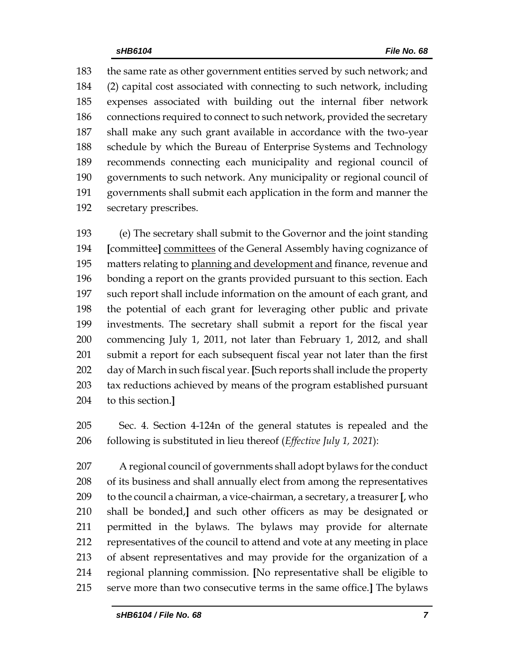the same rate as other government entities served by such network; and (2) capital cost associated with connecting to such network, including expenses associated with building out the internal fiber network 186 connections required to connect to such network, provided the secretary shall make any such grant available in accordance with the two-year schedule by which the Bureau of Enterprise Systems and Technology recommends connecting each municipality and regional council of governments to such network. Any municipality or regional council of governments shall submit each application in the form and manner the secretary prescribes.

 (e) The secretary shall submit to the Governor and the joint standing **[**committee**]** committees of the General Assembly having cognizance of 195 matters relating to planning and development and finance, revenue and bonding a report on the grants provided pursuant to this section. Each such report shall include information on the amount of each grant, and the potential of each grant for leveraging other public and private investments. The secretary shall submit a report for the fiscal year commencing July 1, 2011, not later than February 1, 2012, and shall submit a report for each subsequent fiscal year not later than the first day of March in such fiscal year. **[**Such reports shall include the property tax reductions achieved by means of the program established pursuant to this section.**]**

 Sec. 4. Section 4-124n of the general statutes is repealed and the following is substituted in lieu thereof (*Effective July 1, 2021*):

 A regional council of governments shall adopt bylaws for the conduct of its business and shall annually elect from among the representatives to the council a chairman, a vice-chairman, a secretary, a treasurer **[**, who shall be bonded,**]** and such other officers as may be designated or permitted in the bylaws. The bylaws may provide for alternate representatives of the council to attend and vote at any meeting in place of absent representatives and may provide for the organization of a regional planning commission. **[**No representative shall be eligible to serve more than two consecutive terms in the same office.**]** The bylaws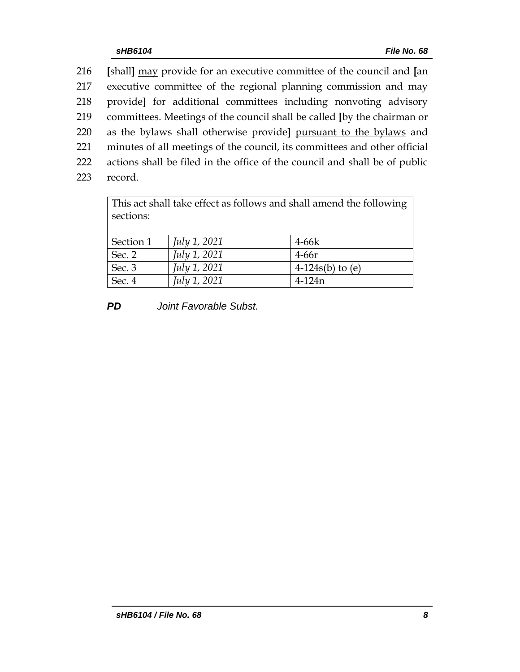**[**shall**]** may provide for an executive committee of the council and **[**an executive committee of the regional planning commission and may provide**]** for additional committees including nonvoting advisory committees. Meetings of the council shall be called **[**by the chairman or as the bylaws shall otherwise provide**]** pursuant to the bylaws and minutes of all meetings of the council, its committees and other official actions shall be filed in the office of the council and shall be of public

223 record.

This act shall take effect as follows and shall amend the following sections: Section 1 *July 1, 2021* 4-66k Sec. 2 *July 1, 2021* 4-66r Sec. 3 *July 1, 2021* 4-124s(b) to (e)

*PD Joint Favorable Subst.*

Sec. 4 *July 1, 2021* 4-124n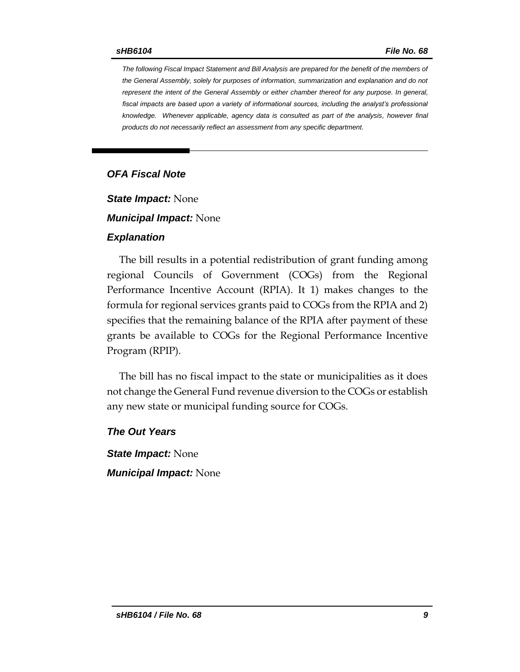*The following Fiscal Impact Statement and Bill Analysis are prepared for the benefit of the members of the General Assembly, solely for purposes of information, summarization and explanation and do not represent the intent of the General Assembly or either chamber thereof for any purpose. In general,*  fiscal impacts are based upon a variety of informational sources, including the analyst's professional *knowledge. Whenever applicable, agency data is consulted as part of the analysis, however final products do not necessarily reflect an assessment from any specific department.*

### *OFA Fiscal Note*

*State Impact:* None

*Municipal Impact:* None

#### *Explanation*

The bill results in a potential redistribution of grant funding among regional Councils of Government (COGs) from the Regional Performance Incentive Account (RPIA). It 1) makes changes to the formula for regional services grants paid to COGs from the RPIA and 2) specifies that the remaining balance of the RPIA after payment of these grants be available to COGs for the Regional Performance Incentive Program (RPIP).

The bill has no fiscal impact to the state or municipalities as it does not change the General Fund revenue diversion to the COGs or establish any new state or municipal funding source for COGs.

*The Out Years*

*State Impact:* None *Municipal Impact:* None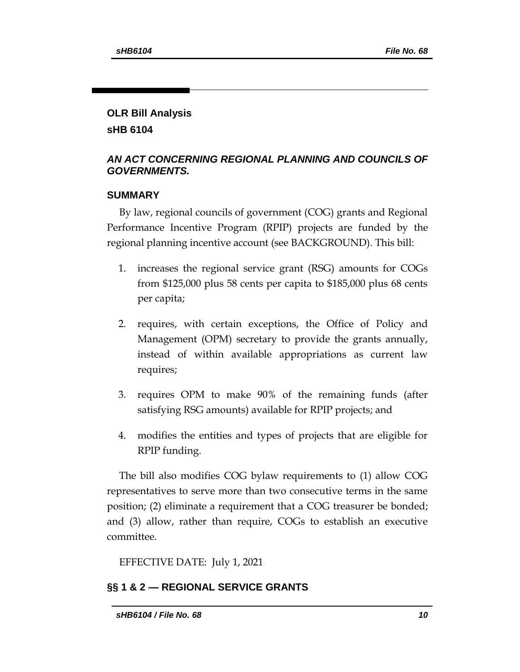# **OLR Bill Analysis**

**sHB 6104**

## *AN ACT CONCERNING REGIONAL PLANNING AND COUNCILS OF GOVERNMENTS.*

# **SUMMARY**

By law, regional councils of government (COG) grants and Regional Performance Incentive Program (RPIP) projects are funded by the regional planning incentive account (see BACKGROUND). This bill:

- 1. increases the regional service grant (RSG) amounts for COGs from \$125,000 plus 58 cents per capita to \$185,000 plus 68 cents per capita;
- 2. requires, with certain exceptions, the Office of Policy and Management (OPM) secretary to provide the grants annually, instead of within available appropriations as current law requires;
- 3. requires OPM to make 90% of the remaining funds (after satisfying RSG amounts) available for RPIP projects; and
- 4. modifies the entities and types of projects that are eligible for RPIP funding.

The bill also modifies COG bylaw requirements to (1) allow COG representatives to serve more than two consecutive terms in the same position; (2) eliminate a requirement that a COG treasurer be bonded; and (3) allow, rather than require, COGs to establish an executive committee.

EFFECTIVE DATE: July 1, 2021

# **§§ 1 & 2 — REGIONAL SERVICE GRANTS**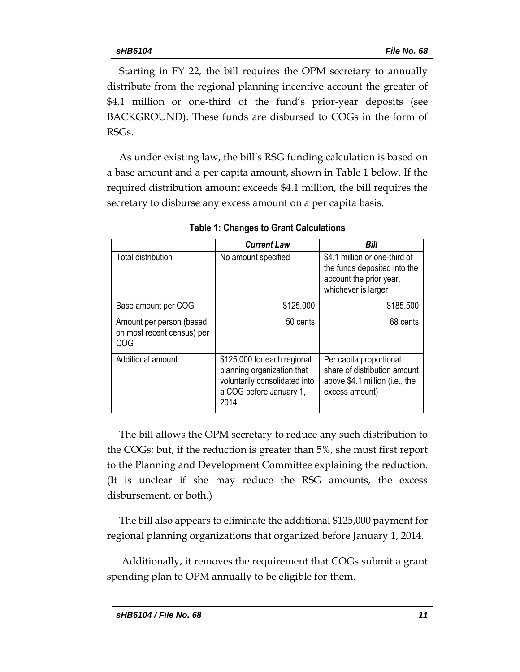Starting in FY 22, the bill requires the OPM secretary to annually distribute from the regional planning incentive account the greater of \$4.1 million or one-third of the fund's prior-year deposits (see BACKGROUND). These funds are disbursed to COGs in the form of RSGs.

As under existing law, the bill's RSG funding calculation is based on a base amount and a per capita amount, shown in Table 1 below. If the required distribution amount exceeds \$4.1 million, the bill requires the secretary to disburse any excess amount on a per capita basis.

|                                                                      | <b>Current Law</b>                                                                                                            | Bill                                                                                                            |
|----------------------------------------------------------------------|-------------------------------------------------------------------------------------------------------------------------------|-----------------------------------------------------------------------------------------------------------------|
| Total distribution                                                   | No amount specified                                                                                                           | \$4.1 million or one-third of<br>the funds deposited into the<br>account the prior year,<br>whichever is larger |
| Base amount per COG                                                  | \$125,000                                                                                                                     | \$185,500                                                                                                       |
| Amount per person (based<br>on most recent census) per<br><b>COG</b> | 50 cents                                                                                                                      | 68 cents                                                                                                        |
| Additional amount                                                    | \$125,000 for each regional<br>planning organization that<br>voluntarily consolidated into<br>a COG before January 1,<br>2014 | Per capita proportional<br>share of distribution amount<br>above \$4.1 million (i.e., the<br>excess amount)     |

**Table 1: Changes to Grant Calculations**

The bill allows the OPM secretary to reduce any such distribution to the COGs; but, if the reduction is greater than 5%, she must first report to the Planning and Development Committee explaining the reduction. (It is unclear if she may reduce the RSG amounts, the excess disbursement, or both.)

The bill also appears to eliminate the additional \$125,000 payment for regional planning organizations that organized before January 1, 2014.

Additionally, it removes the requirement that COGs submit a grant spending plan to OPM annually to be eligible for them.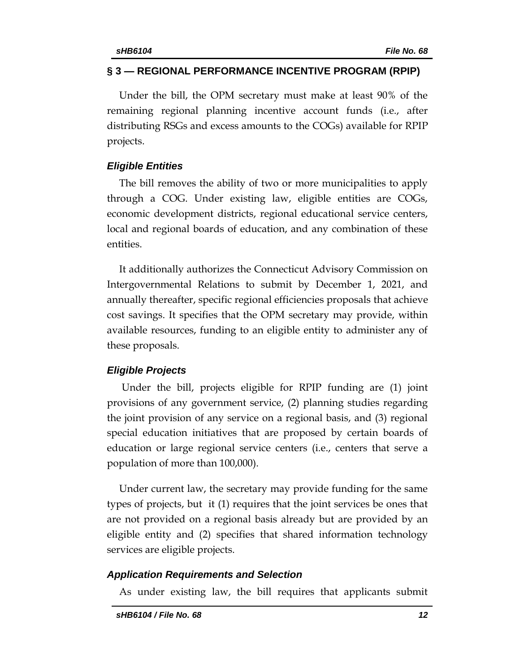### **§ 3 — REGIONAL PERFORMANCE INCENTIVE PROGRAM (RPIP)**

Under the bill, the OPM secretary must make at least 90% of the remaining regional planning incentive account funds (i.e., after distributing RSGs and excess amounts to the COGs) available for RPIP projects.

### *Eligible Entities*

The bill removes the ability of two or more municipalities to apply through a COG. Under existing law, eligible entities are COGs, economic development districts, regional educational service centers, local and regional boards of education, and any combination of these entities.

It additionally authorizes the Connecticut Advisory Commission on Intergovernmental Relations to submit by December 1, 2021, and annually thereafter, specific regional efficiencies proposals that achieve cost savings. It specifies that the OPM secretary may provide, within available resources, funding to an eligible entity to administer any of these proposals.

## *Eligible Projects*

Under the bill, projects eligible for RPIP funding are (1) joint provisions of any government service, (2) planning studies regarding the joint provision of any service on a regional basis, and (3) regional special education initiatives that are proposed by certain boards of education or large regional service centers (i.e., centers that serve a population of more than 100,000).

Under current law, the secretary may provide funding for the same types of projects, but it (1) requires that the joint services be ones that are not provided on a regional basis already but are provided by an eligible entity and (2) specifies that shared information technology services are eligible projects.

#### *Application Requirements and Selection*

As under existing law, the bill requires that applicants submit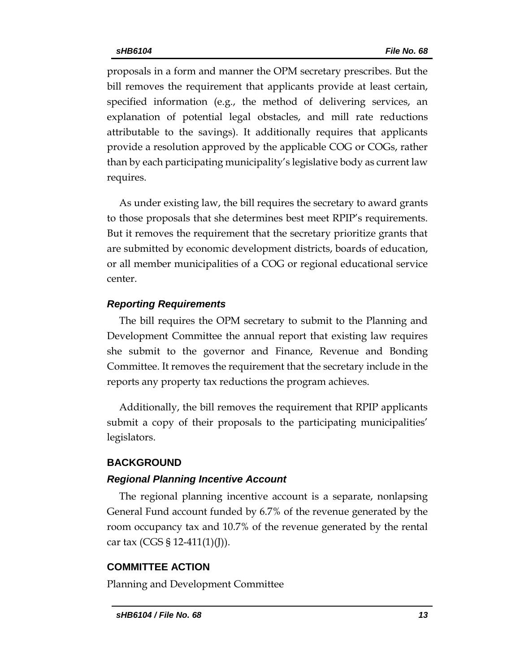proposals in a form and manner the OPM secretary prescribes. But the bill removes the requirement that applicants provide at least certain, specified information (e.g., the method of delivering services, an explanation of potential legal obstacles, and mill rate reductions attributable to the savings). It additionally requires that applicants provide a resolution approved by the applicable COG or COGs, rather than by each participating municipality's legislative body as current law requires.

As under existing law, the bill requires the secretary to award grants to those proposals that she determines best meet RPIP's requirements. But it removes the requirement that the secretary prioritize grants that are submitted by economic development districts, boards of education, or all member municipalities of a COG or regional educational service center.

### *Reporting Requirements*

The bill requires the OPM secretary to submit to the Planning and Development Committee the annual report that existing law requires she submit to the governor and Finance, Revenue and Bonding Committee. It removes the requirement that the secretary include in the reports any property tax reductions the program achieves.

Additionally, the bill removes the requirement that RPIP applicants submit a copy of their proposals to the participating municipalities' legislators.

#### **BACKGROUND**

#### *Regional Planning Incentive Account*

The regional planning incentive account is a separate, nonlapsing General Fund account funded by 6.7% of the revenue generated by the room occupancy tax and 10.7% of the revenue generated by the rental car tax (CGS § 12-411(1)(J)).

## **COMMITTEE ACTION**

Planning and Development Committee